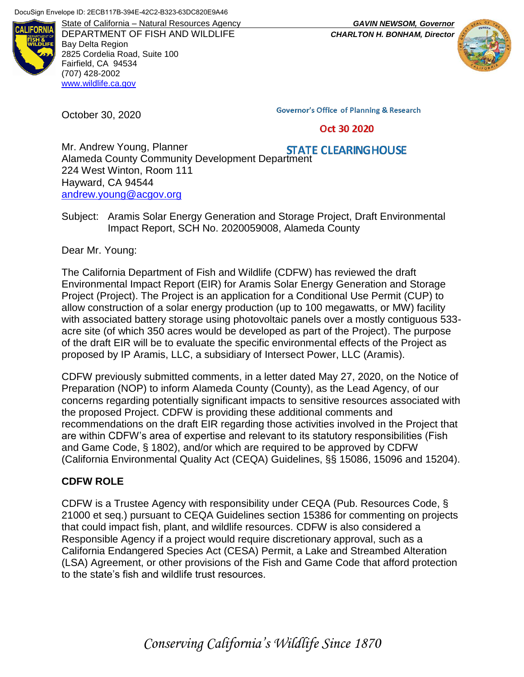

DEPARTMENT OF FISH AND WILDLIFE *CHARLTON H. BONHAM, Director* Bay Delta Region 2825 Cordelia Road, Suite 100 Fairfield, CA 94534 (707) 428-2002 [www.wildlife.ca.gov](http://www.wildlife.ca.gov/)

October 30, 2020

State of California – Natural Resources Agency *GAVIN NEWSOM, Governor*



**Governor's Office of Planning & Research** 

#### Oct 30 2020

Mr. Andrew Young, Planner **STATE CLEARING HOUSE** Alameda County Community Development Department 224 West Winton, Room 111 Hayward, CA 94544 [andrew.young@acgov.org](mailto:andrew.young@acgov.org)

Subject: Aramis Solar Energy Generation and Storage Project, Draft Environmental Impact Report, SCH No. 2020059008, Alameda County

Dear Mr. Young:

The California Department of Fish and Wildlife (CDFW) has reviewed the draft Environmental Impact Report (EIR) for Aramis Solar Energy Generation and Storage Project (Project). The Project is an application for a Conditional Use Permit (CUP) to allow construction of a solar energy production (up to 100 megawatts, or MW) facility with associated battery storage using photovoltaic panels over a mostly contiguous 533 acre site (of which 350 acres would be developed as part of the Project). The purpose of the draft EIR will be to evaluate the specific environmental effects of the Project as proposed by IP Aramis, LLC, a subsidiary of Intersect Power, LLC (Aramis).

CDFW previously submitted comments, in a letter dated May 27, 2020, on the Notice of Preparation (NOP) to inform Alameda County (County), as the Lead Agency, of our concerns regarding potentially significant impacts to sensitive resources associated with the proposed Project. CDFW is providing these additional comments and recommendations on the draft EIR regarding those activities involved in the Project that are within CDFW's area of expertise and relevant to its statutory responsibilities (Fish and Game Code, § 1802), and/or which are required to be approved by CDFW (California Environmental Quality Act (CEQA) Guidelines, §§ 15086, 15096 and 15204).

### **CDFW ROLE**

CDFW is a Trustee Agency with responsibility under CEQA (Pub. Resources Code, § 21000 et seq.) pursuant to CEQA Guidelines section 15386 for commenting on projects that could impact fish, plant, and wildlife resources. CDFW is also considered a Responsible Agency if a project would require discretionary approval, such as a California Endangered Species Act (CESA) Permit, a Lake and Streambed Alteration (LSA) Agreement, or other provisions of the Fish and Game Code that afford protection to the state's fish and wildlife trust resources.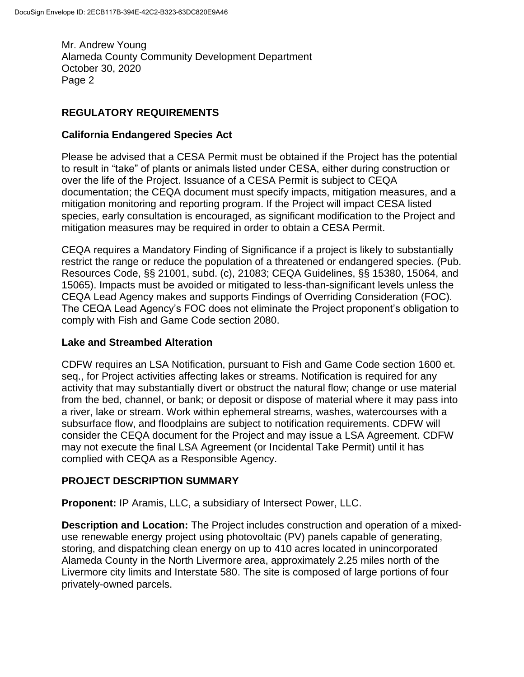## **REGULATORY REQUIREMENTS**

### **California Endangered Species Act**

Please be advised that a CESA Permit must be obtained if the Project has the potential to result in "take" of plants or animals listed under CESA, either during construction or over the life of the Project. Issuance of a CESA Permit is subject to CEQA documentation; the CEQA document must specify impacts, mitigation measures, and a mitigation monitoring and reporting program. If the Project will impact CESA listed species, early consultation is encouraged, as significant modification to the Project and mitigation measures may be required in order to obtain a CESA Permit.

CEQA requires a Mandatory Finding of Significance if a project is likely to substantially restrict the range or reduce the population of a threatened or endangered species. (Pub. Resources Code, §§ 21001, subd. (c), 21083; CEQA Guidelines, §§ 15380, 15064, and 15065). Impacts must be avoided or mitigated to less-than-significant levels unless the CEQA Lead Agency makes and supports Findings of Overriding Consideration (FOC). The CEQA Lead Agency's FOC does not eliminate the Project proponent's obligation to comply with Fish and Game Code section 2080.

### **Lake and Streambed Alteration**

CDFW requires an LSA Notification, pursuant to Fish and Game Code section 1600 et. seq., for Project activities affecting lakes or streams. Notification is required for any activity that may substantially divert or obstruct the natural flow; change or use material from the bed, channel, or bank; or deposit or dispose of material where it may pass into a river, lake or stream. Work within ephemeral streams, washes, watercourses with a subsurface flow, and floodplains are subject to notification requirements. CDFW will consider the CEQA document for the Project and may issue a LSA Agreement. CDFW may not execute the final LSA Agreement (or Incidental Take Permit) until it has complied with CEQA as a Responsible Agency.

### **PROJECT DESCRIPTION SUMMARY**

**Proponent:** IP Aramis, LLC, a subsidiary of Intersect Power, LLC.

**Description and Location:** The Project includes construction and operation of a mixeduse renewable energy project using photovoltaic (PV) panels capable of generating, storing, and dispatching clean energy on up to 410 acres located in unincorporated Alameda County in the North Livermore area, approximately 2.25 miles north of the Livermore city limits and Interstate 580. The site is composed of large portions of four privately-owned parcels.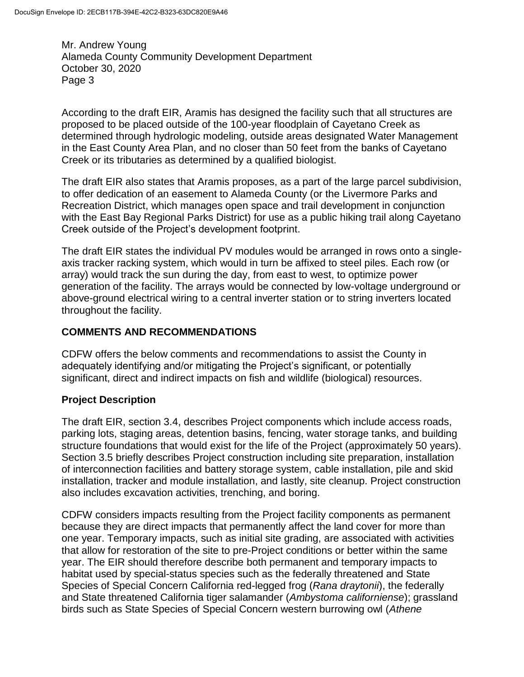According to the draft EIR, Aramis has designed the facility such that all structures are proposed to be placed outside of the 100-year floodplain of Cayetano Creek as determined through hydrologic modeling, outside areas designated Water Management in the East County Area Plan, and no closer than 50 feet from the banks of Cayetano Creek or its tributaries as determined by a qualified biologist.

The draft EIR also states that Aramis proposes, as a part of the large parcel subdivision, to offer dedication of an easement to Alameda County (or the Livermore Parks and Recreation District, which manages open space and trail development in conjunction with the East Bay Regional Parks District) for use as a public hiking trail along Cayetano Creek outside of the Project's development footprint.

The draft EIR states the individual PV modules would be arranged in rows onto a singleaxis tracker racking system, which would in turn be affixed to steel piles. Each row (or array) would track the sun during the day, from east to west, to optimize power generation of the facility. The arrays would be connected by low-voltage underground or above-ground electrical wiring to a central inverter station or to string inverters located throughout the facility.

### **COMMENTS AND RECOMMENDATIONS**

CDFW offers the below comments and recommendations to assist the County in adequately identifying and/or mitigating the Project's significant, or potentially significant, direct and indirect impacts on fish and wildlife (biological) resources.

### **Project Description**

The draft EIR, section 3.4, describes Project components which include access roads, parking lots, staging areas, detention basins, fencing, water storage tanks, and building structure foundations that would exist for the life of the Project (approximately 50 years). Section 3.5 briefly describes Project construction including site preparation, installation of interconnection facilities and battery storage system, cable installation, pile and skid installation, tracker and module installation, and lastly, site cleanup. Project construction also includes excavation activities, trenching, and boring.

CDFW considers impacts resulting from the Project facility components as permanent because they are direct impacts that permanently affect the land cover for more than one year. Temporary impacts, such as initial site grading, are associated with activities that allow for restoration of the site to pre-Project conditions or better within the same year. The EIR should therefore describe both permanent and temporary impacts to habitat used by special-status species such as the federally threatened and State Species of Special Concern California red-legged frog (*Rana draytonii*), the federally and State threatened California tiger salamander (*Ambystoma californiense*); grassland birds such as State Species of Special Concern western burrowing owl (*Athene*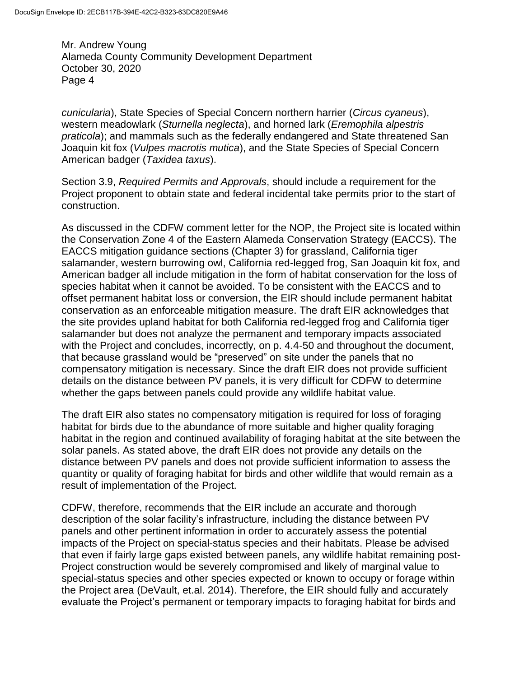*cunicularia*), State Species of Special Concern northern harrier (*Circus cyaneus*), western meadowlark (*Sturnella neglecta*), and horned lark (*Eremophila alpestris praticola*); and mammals such as the federally endangered and State threatened San Joaquin kit fox (*Vulpes macrotis mutica*), and the State Species of Special Concern American badger (*Taxidea taxus*).

Section 3.9, *Required Permits and Approvals*, should include a requirement for the Project proponent to obtain state and federal incidental take permits prior to the start of construction.

As discussed in the CDFW comment letter for the NOP, the Project site is located within the Conservation Zone 4 of the Eastern Alameda Conservation Strategy (EACCS). The EACCS mitigation guidance sections (Chapter 3) for grassland, California tiger salamander, western burrowing owl, California red-legged frog, San Joaquin kit fox, and American badger all include mitigation in the form of habitat conservation for the loss of species habitat when it cannot be avoided. To be consistent with the EACCS and to offset permanent habitat loss or conversion, the EIR should include permanent habitat conservation as an enforceable mitigation measure. The draft EIR acknowledges that the site provides upland habitat for both California red-legged frog and California tiger salamander but does not analyze the permanent and temporary impacts associated with the Project and concludes, incorrectly, on p. 4.4-50 and throughout the document, that because grassland would be "preserved" on site under the panels that no compensatory mitigation is necessary. Since the draft EIR does not provide sufficient details on the distance between PV panels, it is very difficult for CDFW to determine whether the gaps between panels could provide any wildlife habitat value.

The draft EIR also states no compensatory mitigation is required for loss of foraging habitat for birds due to the abundance of more suitable and higher quality foraging habitat in the region and continued availability of foraging habitat at the site between the solar panels. As stated above, the draft EIR does not provide any details on the distance between PV panels and does not provide sufficient information to assess the quantity or quality of foraging habitat for birds and other wildlife that would remain as a result of implementation of the Project.

CDFW, therefore, recommends that the EIR include an accurate and thorough description of the solar facility's infrastructure, including the distance between PV panels and other pertinent information in order to accurately assess the potential impacts of the Project on special-status species and their habitats. Please be advised that even if fairly large gaps existed between panels, any wildlife habitat remaining post-Project construction would be severely compromised and likely of marginal value to special-status species and other species expected or known to occupy or forage within the Project area (DeVault, et.al. 2014). Therefore, the EIR should fully and accurately evaluate the Project's permanent or temporary impacts to foraging habitat for birds and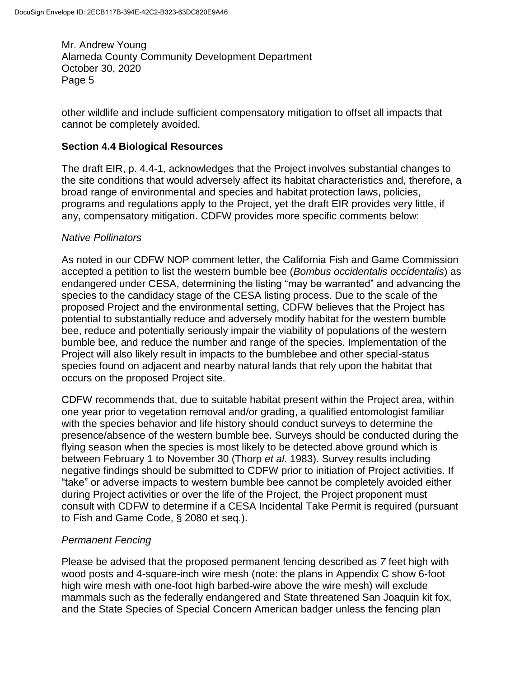other wildlife and include sufficient compensatory mitigation to offset all impacts that cannot be completely avoided.

## **Section 4.4 Biological Resources**

The draft EIR, p. 4.4-1, acknowledges that the Project involves substantial changes to the site conditions that would adversely affect its habitat characteristics and, therefore, a broad range of environmental and species and habitat protection laws, policies, programs and regulations apply to the Project, yet the draft EIR provides very little, if any, compensatory mitigation. CDFW provides more specific comments below:

## *Native Pollinators*

As noted in our CDFW NOP comment letter, the California Fish and Game Commission accepted a petition to list the western bumble bee (*Bombus occidentalis occidentalis*) as endangered under CESA, determining the listing "may be warranted" and advancing the species to the candidacy stage of the CESA listing process. Due to the scale of the proposed Project and the environmental setting, CDFW believes that the Project has potential to substantially reduce and adversely modify habitat for the western bumble bee, reduce and potentially seriously impair the viability of populations of the western bumble bee, and reduce the number and range of the species. Implementation of the Project will also likely result in impacts to the bumblebee and other special-status species found on adjacent and nearby natural lands that rely upon the habitat that occurs on the proposed Project site.

CDFW recommends that, due to suitable habitat present within the Project area, within one year prior to vegetation removal and/or grading, a qualified entomologist familiar with the species behavior and life history should conduct surveys to determine the presence/absence of the western bumble bee. Surveys should be conducted during the flying season when the species is most likely to be detected above ground which is between February 1 to November 30 (Thorp *et al*. 1983). Survey results including negative findings should be submitted to CDFW prior to initiation of Project activities. If "take" or adverse impacts to western bumble bee cannot be completely avoided either during Project activities or over the life of the Project, the Project proponent must consult with CDFW to determine if a CESA Incidental Take Permit is required (pursuant to Fish and Game Code, § 2080 et seq.).

# *Permanent Fencing*

Please be advised that the proposed permanent fencing described as *7* feet high with wood posts and 4-square-inch wire mesh (note: the plans in Appendix C show 6-foot high wire mesh with one-foot high barbed-wire above the wire mesh) will exclude mammals such as the federally endangered and State threatened San Joaquin kit fox, and the State Species of Special Concern American badger unless the fencing plan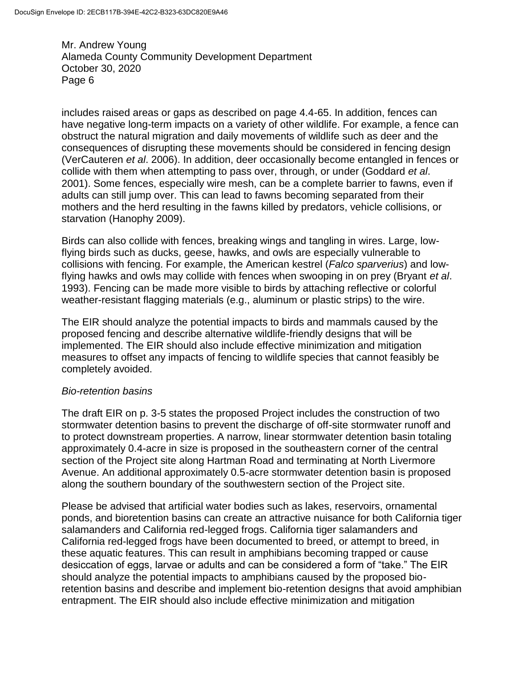includes raised areas or gaps as described on page 4.4-65. In addition, fences can have negative long-term impacts on a variety of other wildlife. For example, a fence can obstruct the natural migration and daily movements of wildlife such as deer and the consequences of disrupting these movements should be considered in fencing design (VerCauteren *et al*. 2006). In addition, deer occasionally become entangled in fences or collide with them when attempting to pass over, through, or under (Goddard *et al*. 2001). Some fences, especially wire mesh, can be a complete barrier to fawns, even if adults can still jump over. This can lead to fawns becoming separated from their mothers and the herd resulting in the fawns killed by predators, vehicle collisions, or starvation (Hanophy 2009).

Birds can also collide with fences, breaking wings and tangling in wires. Large, lowflying birds such as ducks, geese, hawks, and owls are especially vulnerable to collisions with fencing. For example, the American kestrel (*Falco sparverius*) and lowflying hawks and owls may collide with fences when swooping in on prey (Bryant *et al*. 1993). Fencing can be made more visible to birds by attaching reflective or colorful weather-resistant flagging materials (e.g., aluminum or plastic strips) to the wire.

The EIR should analyze the potential impacts to birds and mammals caused by the proposed fencing and describe alternative wildlife-friendly designs that will be implemented. The EIR should also include effective minimization and mitigation measures to offset any impacts of fencing to wildlife species that cannot feasibly be completely avoided.

#### *Bio-retention basins*

The draft EIR on p. 3-5 states the proposed Project includes the construction of two stormwater detention basins to prevent the discharge of off-site stormwater runoff and to protect downstream properties. A narrow, linear stormwater detention basin totaling approximately 0.4-acre in size is proposed in the southeastern corner of the central section of the Project site along Hartman Road and terminating at North Livermore Avenue. An additional approximately 0.5-acre stormwater detention basin is proposed along the southern boundary of the southwestern section of the Project site.

Please be advised that artificial water bodies such as lakes, reservoirs, ornamental ponds, and bioretention basins can create an attractive nuisance for both California tiger salamanders and California red-legged frogs. California tiger salamanders and California red-legged frogs have been documented to breed, or attempt to breed, in these aquatic features. This can result in amphibians becoming trapped or cause desiccation of eggs, larvae or adults and can be considered a form of "take." The EIR should analyze the potential impacts to amphibians caused by the proposed bioretention basins and describe and implement bio-retention designs that avoid amphibian entrapment. The EIR should also include effective minimization and mitigation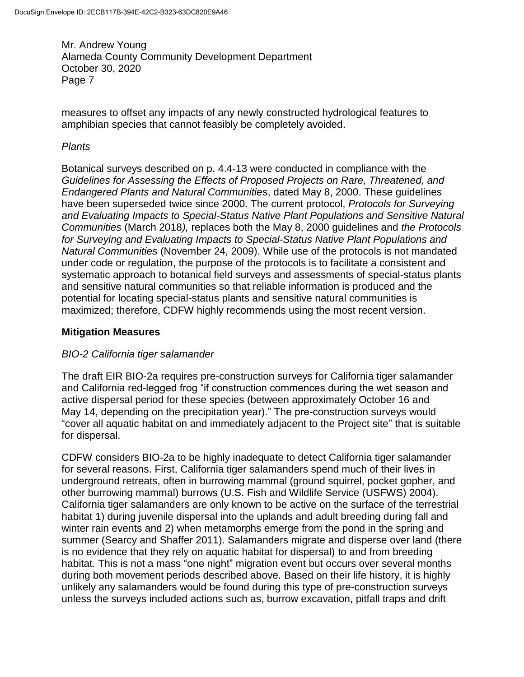measures to offset any impacts of any newly constructed hydrological features to amphibian species that cannot feasibly be completely avoided.

### *Plants*

Botanical surveys described on p. 4.4-13 were conducted in compliance with the *Guidelines for Assessing the Effects of Proposed Projects on Rare, Threatened, and Endangered Plants and Natural Communitie*s, dated May 8, 2000. These guidelines have been superseded twice since 2000. The current protocol, *Protocols for Surveying and Evaluating Impacts to Special-Status Native Plant Populations and Sensitive Natural Communities* (March 2018*),* replaces both the May 8, 2000 guidelines and *the Protocols for Surveying and Evaluating Impacts to Special-Status Native Plant Populations and Natural Communities* (November 24, 2009). While use of the protocols is not mandated under code or regulation, the purpose of the protocols is to facilitate a consistent and systematic approach to botanical field surveys and assessments of special-status plants and sensitive natural communities so that reliable information is produced and the potential for locating special-status plants and sensitive natural communities is maximized; therefore, CDFW highly recommends using the most recent version.

### **Mitigation Measures**

### *BIO-2 California tiger salamander*

The draft EIR BIO-2a requires pre-construction surveys for California tiger salamander and California red-legged frog "if construction commences during the wet season and active dispersal period for these species (between approximately October 16 and May 14, depending on the precipitation year)." The pre-construction surveys would "cover all aquatic habitat on and immediately adjacent to the Project site" that is suitable for dispersal.

CDFW considers BIO-2a to be highly inadequate to detect California tiger salamander for several reasons. First, California tiger salamanders spend much of their lives in underground retreats, often in burrowing mammal (ground squirrel, pocket gopher, and other burrowing mammal) burrows (U.S. Fish and Wildlife Service (USFWS) 2004). California tiger salamanders are only known to be active on the surface of the terrestrial habitat 1) during juvenile dispersal into the uplands and adult breeding during fall and winter rain events and 2) when metamorphs emerge from the pond in the spring and summer (Searcy and Shaffer 2011). Salamanders migrate and disperse over land (there is no evidence that they rely on aquatic habitat for dispersal) to and from breeding habitat. This is not a mass "one night" migration event but occurs over several months during both movement periods described above. Based on their life history, it is highly unlikely any salamanders would be found during this type of pre-construction surveys unless the surveys included actions such as, burrow excavation, pitfall traps and drift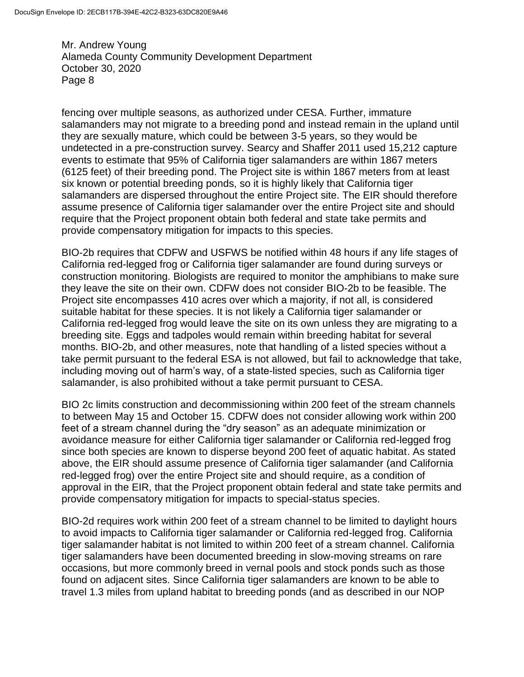fencing over multiple seasons, as authorized under CESA. Further, immature salamanders may not migrate to a breeding pond and instead remain in the upland until they are sexually mature, which could be between 3-5 years, so they would be undetected in a pre-construction survey. Searcy and Shaffer 2011 used 15,212 capture events to estimate that 95% of California tiger salamanders are within 1867 meters (6125 feet) of their breeding pond. The Project site is within 1867 meters from at least six known or potential breeding ponds, so it is highly likely that California tiger salamanders are dispersed throughout the entire Project site. The EIR should therefore assume presence of California tiger salamander over the entire Project site and should require that the Project proponent obtain both federal and state take permits and provide compensatory mitigation for impacts to this species.

BIO-2b requires that CDFW and USFWS be notified within 48 hours if any life stages of California red-legged frog or California tiger salamander are found during surveys or construction monitoring. Biologists are required to monitor the amphibians to make sure they leave the site on their own. CDFW does not consider BIO-2b to be feasible. The Project site encompasses 410 acres over which a majority, if not all, is considered suitable habitat for these species. It is not likely a California tiger salamander or California red-legged frog would leave the site on its own unless they are migrating to a breeding site. Eggs and tadpoles would remain within breeding habitat for several months. BIO-2b, and other measures, note that handling of a listed species without a take permit pursuant to the federal ESA is not allowed, but fail to acknowledge that take, including moving out of harm's way, of a state-listed species, such as California tiger salamander, is also prohibited without a take permit pursuant to CESA.

BIO 2c limits construction and decommissioning within 200 feet of the stream channels to between May 15 and October 15. CDFW does not consider allowing work within 200 feet of a stream channel during the "dry season" as an adequate minimization or avoidance measure for either California tiger salamander or California red-legged frog since both species are known to disperse beyond 200 feet of aquatic habitat. As stated above, the EIR should assume presence of California tiger salamander (and California red-legged frog) over the entire Project site and should require, as a condition of approval in the EIR, that the Project proponent obtain federal and state take permits and provide compensatory mitigation for impacts to special-status species.

BIO-2d requires work within 200 feet of a stream channel to be limited to daylight hours to avoid impacts to California tiger salamander or California red-legged frog. California tiger salamander habitat is not limited to within 200 feet of a stream channel. California tiger salamanders have been documented breeding in slow-moving streams on rare occasions, but more commonly breed in vernal pools and stock ponds such as those found on adjacent sites. Since California tiger salamanders are known to be able to travel 1.3 miles from upland habitat to breeding ponds (and as described in our NOP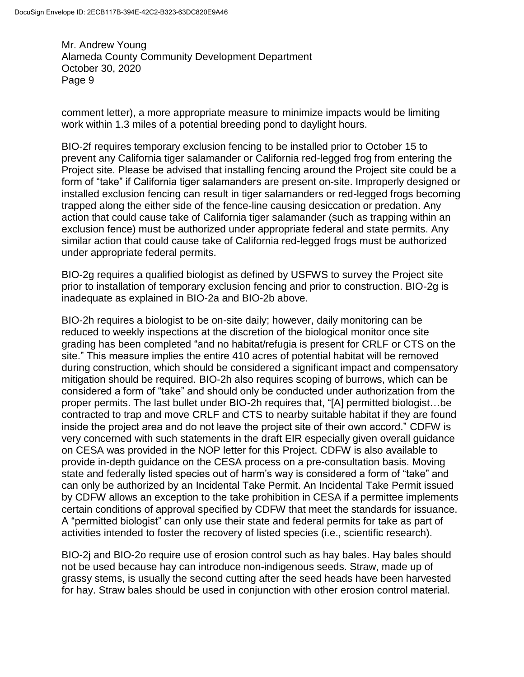comment letter), a more appropriate measure to minimize impacts would be limiting work within 1.3 miles of a potential breeding pond to daylight hours.

BIO-2f requires temporary exclusion fencing to be installed prior to October 15 to prevent any California tiger salamander or California red-legged frog from entering the Project site. Please be advised that installing fencing around the Project site could be a form of "take" if California tiger salamanders are present on-site. Improperly designed or installed exclusion fencing can result in tiger salamanders or red-legged frogs becoming trapped along the either side of the fence-line causing desiccation or predation. Any action that could cause take of California tiger salamander (such as trapping within an exclusion fence) must be authorized under appropriate federal and state permits. Any similar action that could cause take of California red-legged frogs must be authorized under appropriate federal permits.

BIO-2g requires a qualified biologist as defined by USFWS to survey the Project site prior to installation of temporary exclusion fencing and prior to construction. BIO-2g is inadequate as explained in BIO-2a and BIO-2b above.

BIO-2h requires a biologist to be on-site daily; however, daily monitoring can be reduced to weekly inspections at the discretion of the biological monitor once site grading has been completed "and no habitat/refugia is present for CRLF or CTS on the site." This measure implies the entire 410 acres of potential habitat will be removed during construction, which should be considered a significant impact and compensatory mitigation should be required. BIO-2h also requires scoping of burrows, which can be considered a form of "take" and should only be conducted under authorization from the proper permits. The last bullet under BIO-2h requires that, "[A] permitted biologist…be contracted to trap and move CRLF and CTS to nearby suitable habitat if they are found inside the project area and do not leave the project site of their own accord." CDFW is very concerned with such statements in the draft EIR especially given overall guidance on CESA was provided in the NOP letter for this Project. CDFW is also available to provide in-depth guidance on the CESA process on a pre-consultation basis. Moving state and federally listed species out of harm's way is considered a form of "take" and can only be authorized by an Incidental Take Permit. An Incidental Take Permit issued by CDFW allows an exception to the take prohibition in CESA if a permittee implements certain conditions of approval specified by CDFW that meet the standards for issuance. A "permitted biologist" can only use their state and federal permits for take as part of activities intended to foster the recovery of listed species (i.e., scientific research).

BIO-2j and BIO-2o require use of erosion control such as hay bales. Hay bales should not be used because hay can introduce non-indigenous seeds. Straw, made up of grassy stems, is usually the second cutting after the seed heads have been harvested for hay. Straw bales should be used in conjunction with other erosion control material.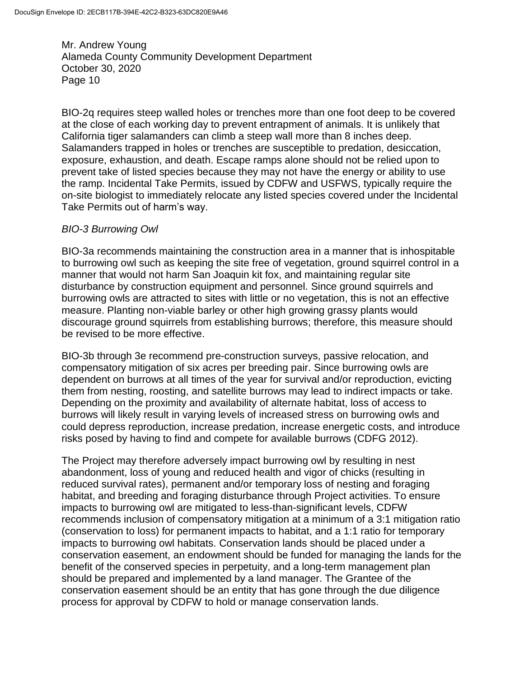BIO-2q requires steep walled holes or trenches more than one foot deep to be covered at the close of each working day to prevent entrapment of animals. It is unlikely that California tiger salamanders can climb a steep wall more than 8 inches deep. Salamanders trapped in holes or trenches are susceptible to predation, desiccation, exposure, exhaustion, and death. Escape ramps alone should not be relied upon to prevent take of listed species because they may not have the energy or ability to use the ramp. Incidental Take Permits, issued by CDFW and USFWS, typically require the on-site biologist to immediately relocate any listed species covered under the Incidental Take Permits out of harm's way.

#### *BIO-3 Burrowing Owl*

BIO-3a recommends maintaining the construction area in a manner that is inhospitable to burrowing owl such as keeping the site free of vegetation, ground squirrel control in a manner that would not harm San Joaquin kit fox, and maintaining regular site disturbance by construction equipment and personnel. Since ground squirrels and burrowing owls are attracted to sites with little or no vegetation, this is not an effective measure. Planting non-viable barley or other high growing grassy plants would discourage ground squirrels from establishing burrows; therefore, this measure should be revised to be more effective.

BIO-3b through 3e recommend pre-construction surveys, passive relocation, and compensatory mitigation of six acres per breeding pair. Since burrowing owls are dependent on burrows at all times of the year for survival and/or reproduction, evicting them from nesting, roosting, and satellite burrows may lead to indirect impacts or take. Depending on the proximity and availability of alternate habitat, loss of access to burrows will likely result in varying levels of increased stress on burrowing owls and could depress reproduction, increase predation, increase energetic costs, and introduce risks posed by having to find and compete for available burrows (CDFG 2012).

The Project may therefore adversely impact burrowing owl by resulting in nest abandonment, loss of young and reduced health and vigor of chicks (resulting in reduced survival rates), permanent and/or temporary loss of nesting and foraging habitat, and breeding and foraging disturbance through Project activities. To ensure impacts to burrowing owl are mitigated to less-than-significant levels, CDFW recommends inclusion of compensatory mitigation at a minimum of a 3:1 mitigation ratio (conservation to loss) for permanent impacts to habitat, and a 1:1 ratio for temporary impacts to burrowing owl habitats. Conservation lands should be placed under a conservation easement, an endowment should be funded for managing the lands for the benefit of the conserved species in perpetuity, and a long-term management plan should be prepared and implemented by a land manager. The Grantee of the conservation easement should be an entity that has gone through the due diligence process for approval by CDFW to hold or manage conservation lands.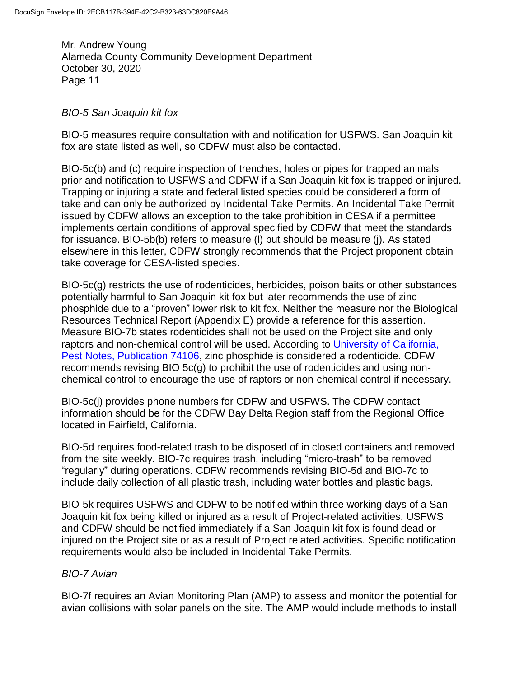#### *BIO-5 San Joaquin kit fox*

BIO-5 measures require consultation with and notification for USFWS. San Joaquin kit fox are state listed as well, so CDFW must also be contacted.

BIO-5c(b) and (c) require inspection of trenches, holes or pipes for trapped animals prior and notification to USFWS and CDFW if a San Joaquin kit fox is trapped or injured. Trapping or injuring a state and federal listed species could be considered a form of take and can only be authorized by Incidental Take Permits. An Incidental Take Permit issued by CDFW allows an exception to the take prohibition in CESA if a permittee implements certain conditions of approval specified by CDFW that meet the standards for issuance. BIO-5b(b) refers to measure (l) but should be measure (j). As stated elsewhere in this letter, CDFW strongly recommends that the Project proponent obtain take coverage for CESA-listed species.

BIO-5c(g) restricts the use of rodenticides, herbicides, poison baits or other substances potentially harmful to San Joaquin kit fox but later recommends the use of zinc phosphide due to a "proven" lower risk to kit fox. Neither the measure nor the Biological Resources Technical Report (Appendix E) provide a reference for this assertion. Measure BIO-7b states rodenticides shall not be used on the Project site and only raptors and non-chemical control will be used. According to [University of California,](http://ipm.ucanr.edu/PDF/PESTNOTES/pnrats.pdf) [Pest Notes, Publication 74106,](http://ipm.ucanr.edu/PDF/PESTNOTES/pnrats.pdf) zinc phosphide is considered a rodenticide. CDFW recommends revising BIO 5c(g) to prohibit the use of rodenticides and using nonchemical control to encourage the use of raptors or non-chemical control if necessary.

BIO-5c(j) provides phone numbers for CDFW and USFWS. The CDFW contact information should be for the CDFW Bay Delta Region staff from the Regional Office located in Fairfield, California.

BIO-5d requires food-related trash to be disposed of in closed containers and removed from the site weekly. BIO-7c requires trash, including "micro-trash" to be removed "regularly" during operations. CDFW recommends revising BIO-5d and BIO-7c to include daily collection of all plastic trash, including water bottles and plastic bags.

BIO-5k requires USFWS and CDFW to be notified within three working days of a San Joaquin kit fox being killed or injured as a result of Project-related activities. USFWS and CDFW should be notified immediately if a San Joaquin kit fox is found dead or injured on the Project site or as a result of Project related activities. Specific notification requirements would also be included in Incidental Take Permits.

### *BIO-7 Avian*

BIO-7f requires an Avian Monitoring Plan (AMP) to assess and monitor the potential for avian collisions with solar panels on the site. The AMP would include methods to install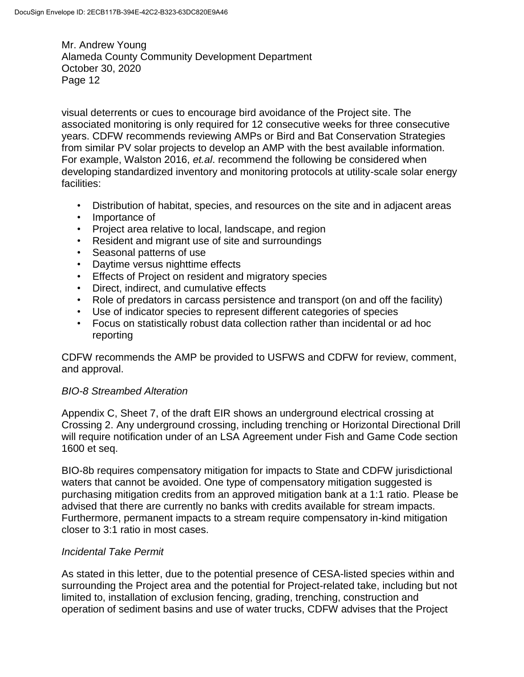visual deterrents or cues to encourage bird avoidance of the Project site. The associated monitoring is only required for 12 consecutive weeks for three consecutive years. CDFW recommends reviewing AMPs or Bird and Bat Conservation Strategies from similar PV solar projects to develop an AMP with the best available information. For example, Walston 2016, *et.al*. recommend the following be considered when developing standardized inventory and monitoring protocols at utility-scale solar energy facilities:

- Distribution of habitat, species, and resources on the site and in adjacent areas
- Importance of
- Project area relative to local, landscape, and region
- Resident and migrant use of site and surroundings
- Seasonal patterns of use
- Daytime versus nighttime effects
- Effects of Project on resident and migratory species
- Direct, indirect, and cumulative effects
- Role of predators in carcass persistence and transport (on and off the facility)
- Use of indicator species to represent different categories of species
- Focus on statistically robust data collection rather than incidental or ad hoc reporting

CDFW recommends the AMP be provided to USFWS and CDFW for review, comment, and approval.

#### *BIO-8 Streambed Alteration*

Appendix C, Sheet 7, of the draft EIR shows an underground electrical crossing at Crossing 2. Any underground crossing, including trenching or Horizontal Directional Drill will require notification under of an LSA Agreement under Fish and Game Code section 1600 et seq.

BIO-8b requires compensatory mitigation for impacts to State and CDFW jurisdictional waters that cannot be avoided. One type of compensatory mitigation suggested is purchasing mitigation credits from an approved mitigation bank at a 1:1 ratio. Please be advised that there are currently no banks with credits available for stream impacts. Furthermore, permanent impacts to a stream require compensatory in-kind mitigation closer to 3:1 ratio in most cases.

#### *Incidental Take Permit*

As stated in this letter, due to the potential presence of CESA-listed species within and surrounding the Project area and the potential for Project-related take, including but not limited to, installation of exclusion fencing, grading, trenching, construction and operation of sediment basins and use of water trucks, CDFW advises that the Project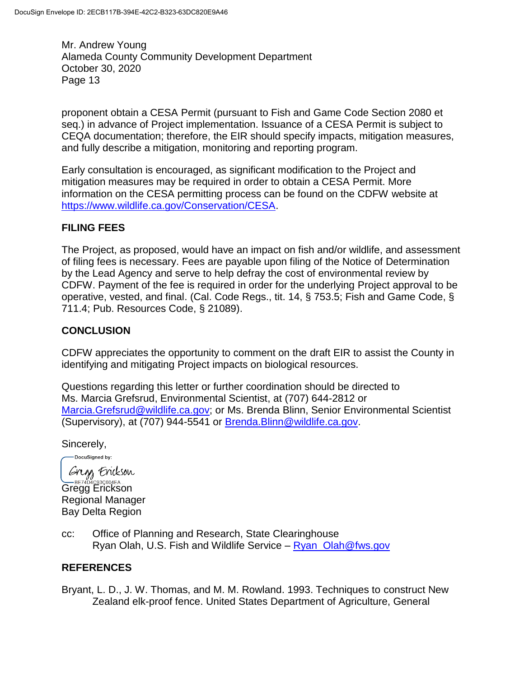proponent obtain a CESA Permit (pursuant to Fish and Game Code Section 2080 et seq.) in advance of Project implementation. Issuance of a CESA Permit is subject to CEQA documentation; therefore, the EIR should specify impacts, mitigation measures, and fully describe a mitigation, monitoring and reporting program.

Early consultation is encouraged, as significant modification to the Project and mitigation measures may be required in order to obtain a CESA Permit. More information on the CESA permitting process can be found on the CDFW website at [https://www.wildlife.ca.gov/Conservation/CESA.](https://www.wildlife.ca.gov/Conservation/CESA)

## **FILING FEES**

The Project, as proposed, would have an impact on fish and/or wildlife, and assessment of filing fees is necessary. Fees are payable upon filing of the Notice of Determination by the Lead Agency and serve to help defray the cost of environmental review by CDFW. Payment of the fee is required in order for the underlying Project approval to be operative, vested, and final. (Cal. Code Regs., tit. 14, § 753.5; Fish and Game Code, § 711.4; Pub. Resources Code, § 21089).

## **CONCLUSION**

CDFW appreciates the opportunity to comment on the draft EIR to assist the County in identifying and mitigating Project impacts on biological resources.

Questions regarding this letter or further coordination should be directed to Ms. Marcia Grefsrud, Environmental Scientist, at (707) 644-2812 or [Marcia.Grefsrud@wildlife.ca.gov;](mailto:Marcia.Grefsrud@wildlife.ca.gov) or Ms. Brenda Blinn, Senior Environmental Scientist (Supervisory), at (707) 944-5541 or [Brenda.Blinn@wildlife.ca.gov.](mailto:Brenda.Blinn@wildlife.ca.gov)

Sincerely,

-DocuSigned by: Grap Erickson

Gregg Erickson Regional Manager Bay Delta Region

cc: Office of Planning and Research, State Clearinghouse Ryan Olah, U.S. Fish and Wildlife Service – [Ryan\\_Olah@fws.gov](mailto:Ryan_Olah@fws.gov)

### **REFERENCES**

Bryant, L. D., J. W. Thomas, and M. M. Rowland. 1993. Techniques to construct New Zealand elk-proof fence. United States Department of Agriculture, General